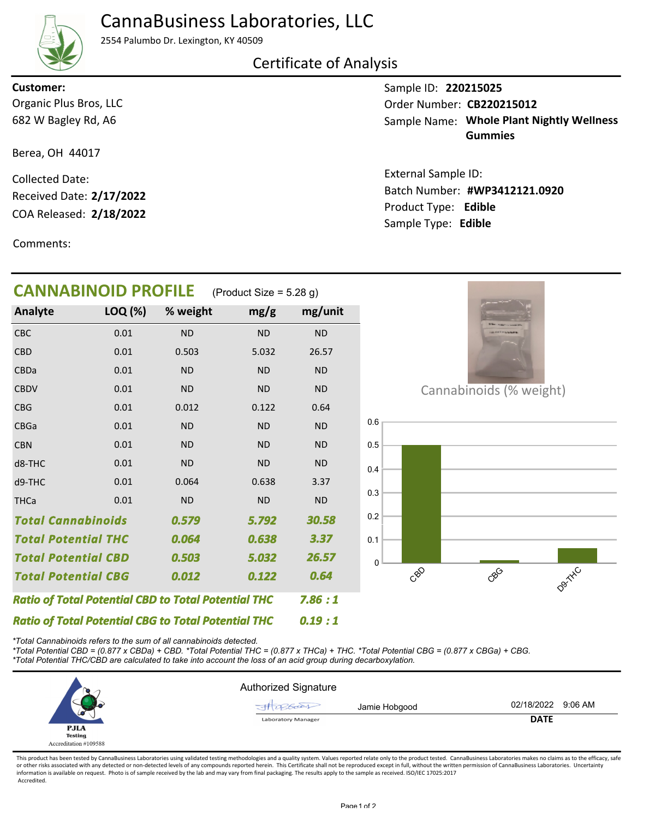# CannaBusiness Laboratories, LLC

2554 Palumbo Dr. Lexington, KY 40509

### Certificate of Analysis

682 W Bagley Rd, A6 Organic Plus Bros, LLC **Customer:**

Berea, OH 44017

COA Released: Collected Date: Received Date: **2/17/2022**

Comments:

Sample ID: **220215025 Whole Plant Nightly Wellness** Sample Name: **Gummies** Order Number: CB220215012

Product Type: **Edible 2/18/2022 #WP3412121.0920** Batch Number: External Sample ID: Sample Type: **Edible**

| <b>CANNABINOID PROFILE</b>                                 |         |           | (Product Size = $5.28$ g) |           |     |                         |
|------------------------------------------------------------|---------|-----------|---------------------------|-----------|-----|-------------------------|
| Analyte                                                    | LOQ (%) | % weight  | mg/g                      | mg/unit   |     |                         |
| CBC                                                        | 0.01    | <b>ND</b> | <b>ND</b>                 | <b>ND</b> |     |                         |
| <b>CBD</b>                                                 | 0.01    | 0.503     | 5.032                     | 26.57     |     |                         |
| CBDa                                                       | 0.01    | <b>ND</b> | <b>ND</b>                 | <b>ND</b> |     |                         |
| <b>CBDV</b>                                                | 0.01    | <b>ND</b> | <b>ND</b>                 | <b>ND</b> |     | Cannabinoids (% weight) |
| <b>CBG</b>                                                 | 0.01    | 0.012     | 0.122                     | 0.64      |     |                         |
| CBGa                                                       | 0.01    | <b>ND</b> | <b>ND</b>                 | <b>ND</b> | 0.6 |                         |
| <b>CBN</b>                                                 | 0.01    | <b>ND</b> | <b>ND</b>                 | <b>ND</b> | 0.5 |                         |
| d8-THC                                                     | 0.01    | <b>ND</b> | <b>ND</b>                 | <b>ND</b> | 0.4 |                         |
| d9-THC                                                     | 0.01    | 0.064     | 0.638                     | 3.37      |     |                         |
| <b>THCa</b>                                                | 0.01    | <b>ND</b> | <b>ND</b>                 | <b>ND</b> | 0.3 |                         |
| <b>Total Cannabinoids</b>                                  |         | 0.579     | 5.792                     | 30.58     | 0.2 |                         |
| <b>Total Potential THC</b>                                 |         | 0.064     | 0.638                     | 3.37      | 0.1 |                         |
| <b>Total Potential CBD</b>                                 |         | 0.503     | 5.032                     | 26.57     | 0   |                         |
| <b>Total Potential CBG</b>                                 |         | 0.012     | 0.122                     | 0.64      | CBO | coco                    |
| <b>Ratio of Total Potential CBD to Total Potential THC</b> |         |           |                           | 7.86:1    |     |                         |
| <b>Ratio of Total Potential CBG to Total Potential THC</b> |         |           |                           | 0.19:1    |     |                         |

*\*Total Cannabinoids refers to the sum of all cannabinoids detected.*

*\*Total Potential CBD = (0.877 x CBDa) + CBD. \*Total Potential THC = (0.877 x THCa) + THC. \*Total Potential CBG = (0.877 x CBGa) + CBG. \*Total Potential THC/CBD are calculated to take into account the loss of an acid group during decarboxylation.*

Authorized Signature Jamie Hobgood 02/18/2022 9:06 AM At 28600 **Laboratory Manager DATE** P.ILA **Testing** Accreditation #109588

This product has been tested by CannaBusiness Laboratories using validated testing methodologies and a quality system. Values reported relate only to the product tested. CannaBusiness Laboratories makes no claims as to the or other risks associated with any detected or non-detected levels of any compounds reported herein. This Certificate shall not be reproduced except in full, without the written permission of CannaBusiness Laboratories. Un information is available on request. Photo is of sample received by the lab and may vary from final packaging. The results apply to the sample as received. ISO/IEC 17025:2017 Accredited.